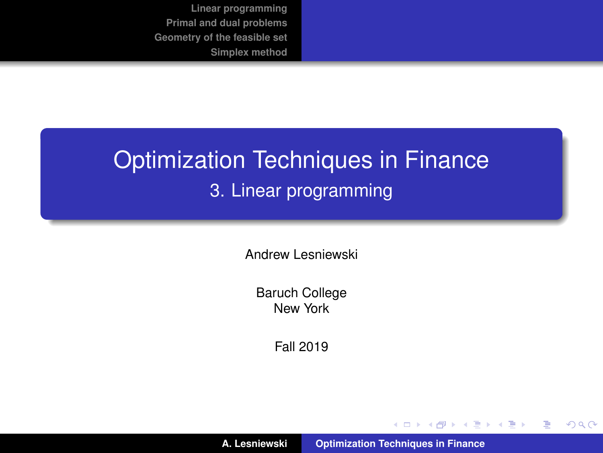## <span id="page-0-0"></span>Optimization Techniques in Finance 3. Linear programming

Andrew Lesniewski

Baruch College New York

Fall 2019

**A. Lesniewski [Optimization Techniques in Finance](#page-57-0)**

(ロトス個) (運) (運)

 $299$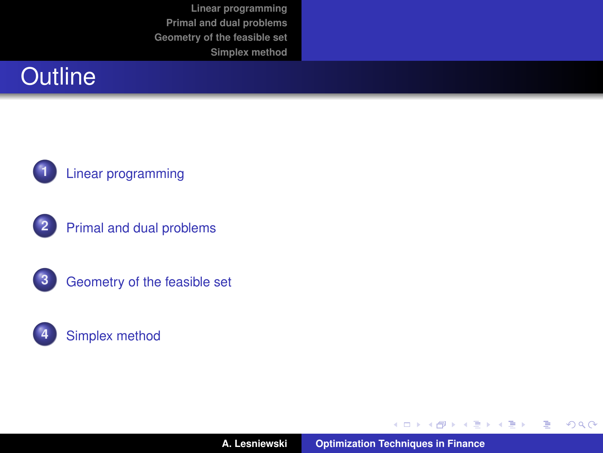











**A. Lesniewski [Optimization Techniques in Finance](#page-0-0)**

イロメ イ部メ イヨメ イヨメー

重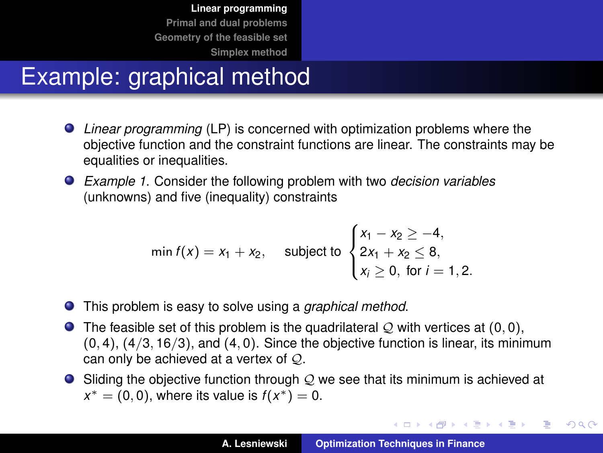## <span id="page-2-0"></span>Example: graphical method

- *Linear programming* (LP) is concerned with optimization problems where the objective function and the constraint functions are linear. The constraints may be equalities or inequalities.
- *Example 1*. Consider the following problem with two *decision variables* (unknowns) and five (inequality) constraints

$$
\min f(x) = x_1 + x_2, \quad \text{subject to } \begin{cases} x_1 - x_2 \ge -4, \\ 2x_1 + x_2 \le 8, \\ x_i \ge 0, \text{ for } i = 1, 2. \end{cases}
$$

- This problem is easy to solve using a *graphical method*.
- $\bullet$  The feasible set of this problem is the quadrilateral Q with vertices at (0,0),  $(0, 4)$ ,  $(4/3, 16/3)$ , and  $(4, 0)$ . Since the objective function is linear, its minimum can only be achieved at a vertex of Q.
- $\bullet$  Sliding the objective function through  $\mathcal Q$  we see that its minimum is achieved at  $x^* = (0, 0)$ , where its value is  $f(x^*) = 0$ .

イロメ イ団メ イヨメ イヨメー

重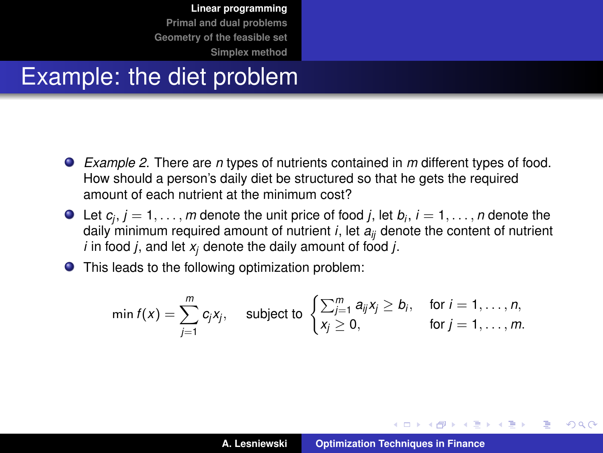#### Example: the diet problem

- *Example 2*. There are *n* types of nutrients contained in *m* different types of food. How should a person's daily diet be structured so that he gets the required amount of each nutrient at the minimum cost?
- Let  $c_j$ ,  $j = 1, \ldots, m$  denote the unit price of food  $j$ , let  $b_i$ ,  $i = 1, \ldots, n$  denote the daily minimum required amount of nutrient  $i$ , let  $a_{ii}$  denote the content of nutrient *i* in food *j*, and let *x<sup>j</sup>* denote the daily amount of food *j*.
- This leads to the following optimization problem:

$$
\min f(x) = \sum_{j=1}^m c_j x_j, \quad \text{subject to } \begin{cases} \sum_{j=1}^m a_{ij} x_j \ge b_j, & \text{for } i = 1, \dots, n, \\ x_j \ge 0, & \text{for } j = 1, \dots, m. \end{cases}
$$

イロメ イ部メ イヨメ イヨメー

Þ

 $QQ$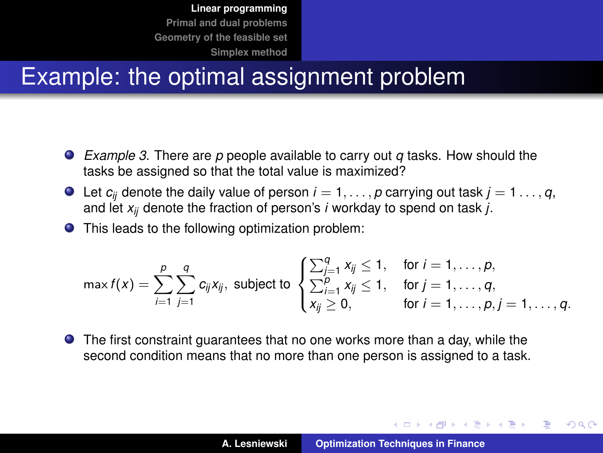## Example: the optimal assignment problem

- *Example 3*. There are *p* people available to carry out *q* tasks. How should the tasks be assigned so that the total value is maximized?
- $\bullet$  Let  $c_{ij}$  denote the daily value of person  $i = 1, \ldots, p$  carrying out task  $j = 1, \ldots, q$ , and let *xij* denote the fraction of person's *i* workday to spend on task *j*.
- This leads to the following optimization problem:

$$
\max f(x) = \sum_{i=1}^{p} \sum_{j=1}^{q} c_{ij} x_{ij}, \text{ subject to } \begin{cases} \sum_{j=1}^{q} x_{ij} \leq 1, & \text{for } i = 1, \ldots, p, \\ \sum_{i=1}^{p} x_{ij} \leq 1, & \text{for } j = 1, \ldots, q, \\ x_{ij} \geq 0, & \text{for } i = 1, \ldots, p, j = 1, \ldots, q. \end{cases}
$$

The first constraint guarantees that no one works more than a day, while the second condition means that no more than one person is assigned to a task.

イロメ イ部メ イヨメ イヨメー

 $2Q$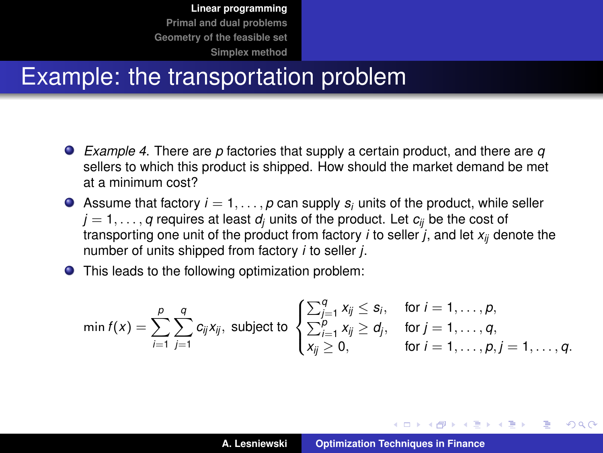#### Example: the transportation problem

- *Example 4*. There are *p* factories that supply a certain product, and there are *q* sellers to which this product is shipped. How should the market demand be met at a minimum cost?
- Assume that factory  $i = 1, \ldots, p$  can supply  $s_i$  units of the product, while seller  $j = 1, \ldots, q$  requires at least  $d_i$  units of the product. Let  $c_{ii}$  be the cost of transporting one unit of the product from factory *i* to seller *j*, and let *xij* denote the number of units shipped from factory *i* to seller *j*.
- This leads to the following optimization problem:

$$
\min f(x) = \sum_{i=1}^p \sum_{j=1}^q c_{ij} x_{ij},
$$
 subject to 
$$
\begin{cases} \sum_{j=1}^q x_{ij} \leq s_i, & \text{for } i = 1, \ldots, p, \\ \sum_{i=1}^p x_{ij} \geq d_j, & \text{for } j = 1, \ldots, q, \\ x_{ij} \geq 0, & \text{for } i = 1, \ldots, p, j = 1, \ldots, q. \end{cases}
$$

イロメ イ部メ イヨメ イヨメー

 $QQQ$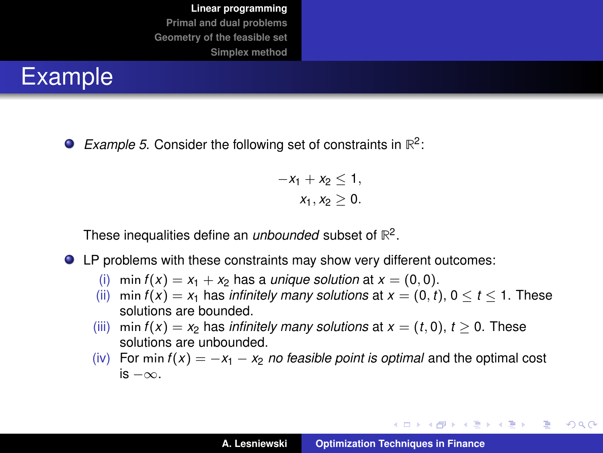

*Example 5*. Consider the following set of constraints in **R** 2 :

$$
-x_1 + x_2 \leq 1,
$$
  

$$
x_1, x_2 \geq 0.
$$

These inequalities define an *unbounded* subset of **R** 2 .

- LP problems with these constraints may show very different outcomes:
	- (i) min  $f(x) = x_1 + x_2$  has a *unique solution* at  $x = (0, 0)$ .
	- (ii) min  $f(x) = x_1$  has *infinitely many solutions* at  $x = (0, t)$ ,  $0 \le t \le 1$ . These solutions are bounded.
	- (iii) min  $f(x) = x_2$  has *infinitely many solutions* at  $x = (t, 0)$ ,  $t > 0$ . These solutions are unbounded.
	- (iv) For min  $f(x) = -x_1 x_2$  *no feasible point is optimal* and the optimal cost is −∞.

イロメ イ団メ イヨメ イヨメー

重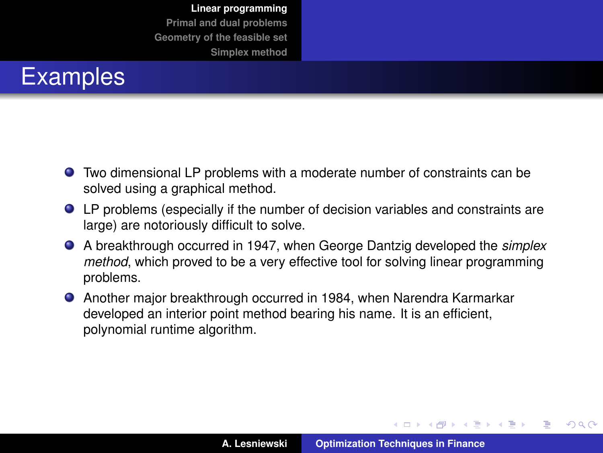

- Two dimensional LP problems with a moderate number of constraints can be solved using a graphical method.
- LP problems (especially if the number of decision variables and constraints are large) are notoriously difficult to solve.
- A breakthrough occurred in 1947, when George Dantzig developed the *simplex method*, which proved to be a very effective tool for solving linear programming problems.
- Another major breakthrough occurred in 1984, when Narendra Karmarkar developed an interior point method bearing his name. It is an efficient, polynomial runtime algorithm.

イロメ イ部メ イヨメ イヨメー

 $QQ$ 

Þ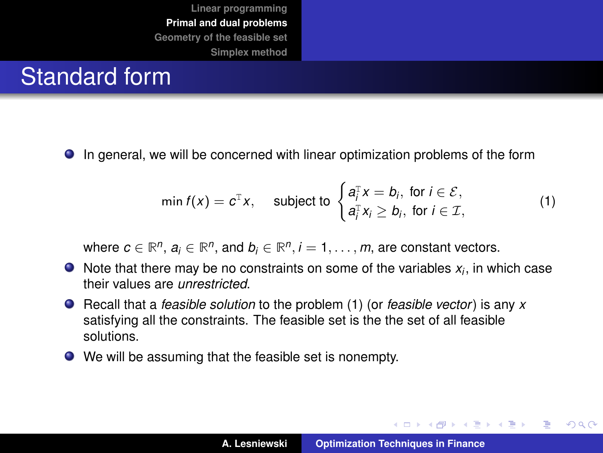## <span id="page-8-0"></span>Standard form

In general, we will be concerned with linear optimization problems of the form

<span id="page-8-1"></span>
$$
\min f(x) = c^{\mathrm{T}} x, \quad \text{subject to } \begin{cases} a_i^{\mathrm{T}} x = b_i, \text{ for } i \in \mathcal{E}, \\ a_i^{\mathrm{T}} x_i \ge b_i, \text{ for } i \in \mathcal{I}, \end{cases} \tag{1}
$$

where  $c \in \mathbb{R}^n$ ,  $a_i \in \mathbb{R}^n$ , and  $b_i \in \mathbb{R}^n$ ,  $i = 1, \ldots, m$ , are constant vectors.

- Note that there may be no constraints on some of the variables *x<sup>i</sup>* , in which case their values are *unrestricted*.
- Recall that a *feasible solution* to the problem [\(1\)](#page-8-1) (or *feasible vector*) is any *x* satisfying all the constraints. The feasible set is the the set of all feasible solutions.
- We will be assuming that the feasible set is nonempty.

イロメ イ団メ イヨメ イヨメー

 $299$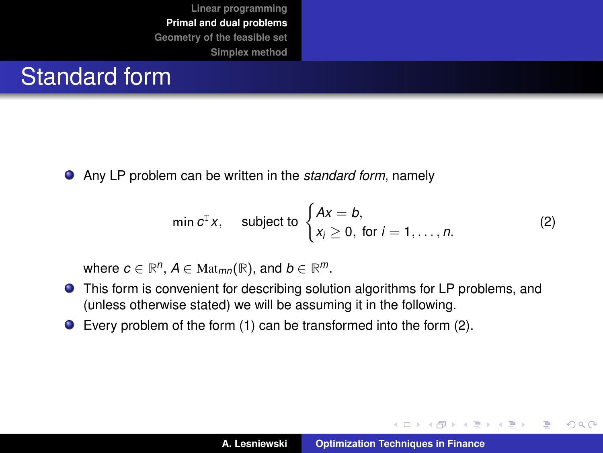#### Standard form

Any LP problem can be written in the *standard form*, namely

<span id="page-9-0"></span>
$$
\min c^{\mathrm{T}} x, \quad \text{subject to } \begin{cases} Ax = b, \\ x_i \ge 0, \text{ for } i = 1, \dots, n. \end{cases} \tag{2}
$$

where  $c \in \mathbb{R}^n$ ,  $A \in \text{Mat}_{mn}(\mathbb{R})$ , and  $b \in \mathbb{R}^m$ .

- This form is convenient for describing solution algorithms for LP problems, and (unless otherwise stated) we will be assuming it in the following.
- Every problem of the form [\(1\)](#page-8-1) can be transformed into the form [\(2\)](#page-9-0).

イロトス 伊 トス ヨ トス ヨ トー

 $299$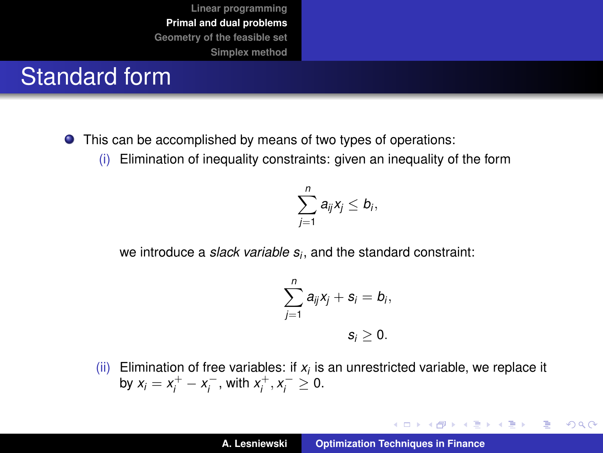## Standard form

- This can be accomplished by means of two types of operations:
	- (i) Elimination of inequality constraints: given an inequality of the form

$$
\sum_{j=1}^n a_{ij}x_j\leq b_i,
$$

we introduce a *slack variable s<sup>i</sup>* , and the standard constraint:

$$
\sum_{j=1}^n a_{ij}x_j + s_i = b_i,
$$
  

$$
s_i \geq 0.
$$

(ii) Elimination of free variables: if  $x_i$  is an unrestricted variable, we replace it by  $x_i = x_i^+ - x_i^-$ , with  $x_i^+, x_i^- \ge 0$ .

イロメ イ団メ イヨメ イヨメー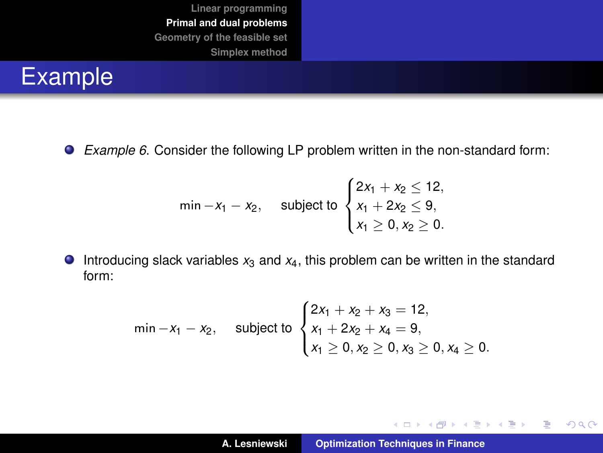

*Example 6*. Consider the following LP problem written in the non-standard form:

$$
\min -x_1 - x_2, \quad \text{subject to } \begin{cases} 2x_1 + x_2 \le 12, \\ x_1 + 2x_2 \le 9, \\ x_1 \ge 0, x_2 \ge 0. \end{cases}
$$

 $\bullet$  Introducing slack variables  $x_3$  and  $x_4$ , this problem can be written in the standard form:

$$
\min -x_1 - x_2, \quad \text{subject to } \begin{cases} 2x_1 + x_2 + x_3 = 12, \\ x_1 + 2x_2 + x_4 = 9, \\ x_1 \ge 0, x_2 \ge 0, x_3 \ge 0, x_4 \ge 0. \end{cases}
$$

イロメ イ部メ イヨメ イヨメー

重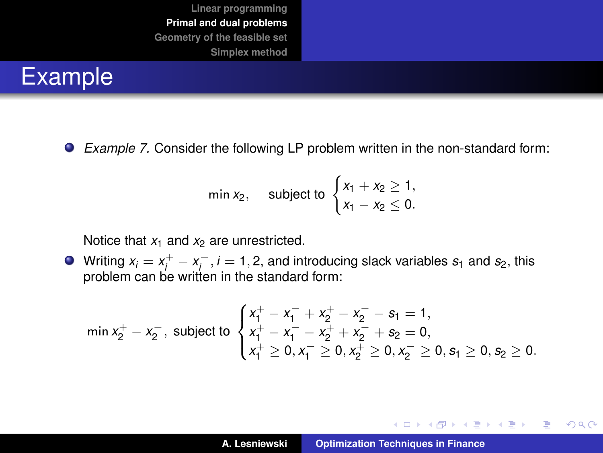

*Example 7.* Consider the following LP problem written in the non-standard form:

$$
\min x_2, \quad \text{subject to } \begin{cases} x_1 + x_2 \ge 1, \\ x_1 - x_2 \le 0. \end{cases}
$$

Notice that  $x_1$  and  $x_2$  are unrestricted.

Writing  $x_i = x_i^+ - x_i^-, i = 1, 2$ , and introducing slack variables  $s_1$  and  $s_2$ , this problem can be written in the standard form:

$$
\min x_2^+ - x_2^-, \text{ subject to } \begin{cases} x_1^+ - x_1^- + x_2^+ - x_2^- - s_1 = 1, \\ x_1^+ - x_1^- - x_2^+ + x_2^- + s_2 = 0, \\ x_1^+ \geq 0, x_1^- \geq 0, x_2^+ \geq 0, x_2^- \geq 0, s_1 \geq 0, s_2 \geq 0. \end{cases}
$$

イロメ イ部メ イヨメ イヨメー

 $299$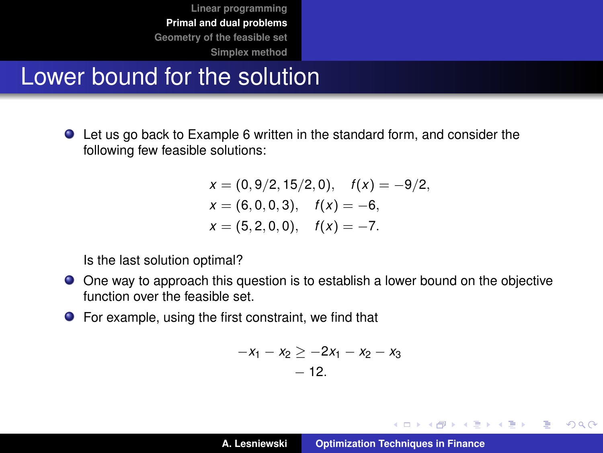#### Lower bound for the solution

Let us go back to Example 6 written in the standard form, and consider the following few feasible solutions:

$$
x = (0, 9/2, 15/2, 0), \quad f(x) = -9/2,
$$
  
\n
$$
x = (6, 0, 0, 3), \quad f(x) = -6,
$$
  
\n
$$
x = (5, 2, 0, 0), \quad f(x) = -7.
$$

Is the last solution optimal?

- One way to approach this question is to establish a lower bound on the objective function over the feasible set.
- For example, using the first constraint, we find that

$$
-x_1 - x_2 \ge -2x_1 - x_2 - x_3 - 12.
$$

イロメ イ部メ イヨメ イヨメー

 $299$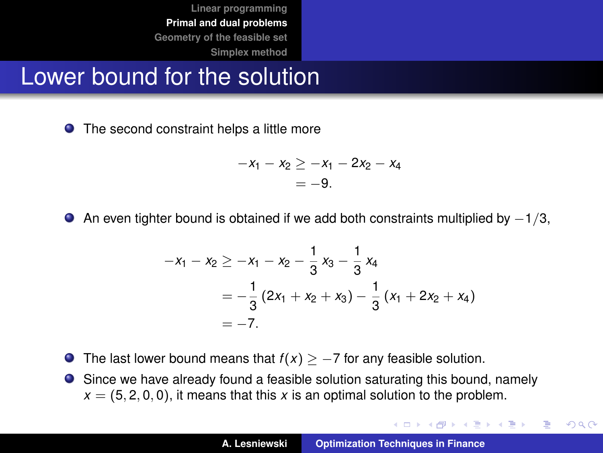#### Lower bound for the solution

● The second constraint helps a little more

$$
-x_1 - x_2 \ge -x_1 - 2x_2 - x_4
$$
  
= -9.

An even tighter bound is obtained if we add both constraints multiplied by  $-1/3$ ,  $\bullet$ 

$$
-x_1 - x_2 \ge -x_1 - x_2 - \frac{1}{3}x_3 - \frac{1}{3}x_4
$$
  
=  $-\frac{1}{3}(2x_1 + x_2 + x_3) - \frac{1}{3}(x_1 + 2x_2 + x_4)$   
=  $-7$ .

- $\bullet$  The last lower bound means that  $f(x) \geq -7$  for any feasible solution.
- $\bullet$ Since we have already found a feasible solution saturating this bound, namely  $x = (5, 2, 0, 0)$ , it means that this x is an optimal solution to the problem.

イロメ イ団 トイミメ イモメー

 $299$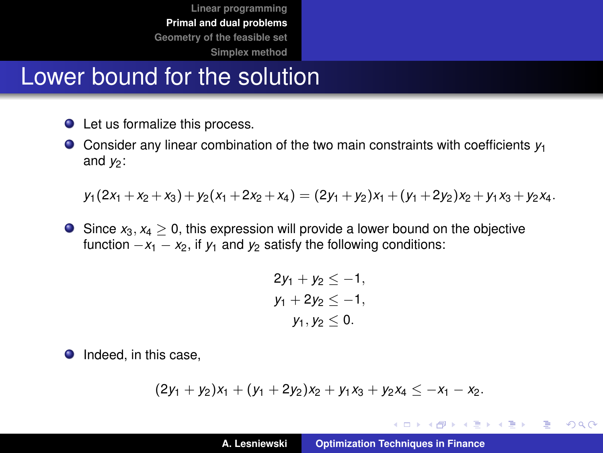#### Lower bound for the solution

- Let us formalize this process.
- Consider any linear combination of the two main constraints with coefficients *y*<sup>1</sup> and  $y_2$ :

$$
y_1(2x_1 + x_2 + x_3) + y_2(x_1 + 2x_2 + x_4) = (2y_1 + y_2)x_1 + (y_1 + 2y_2)x_2 + y_1x_3 + y_2x_4.
$$

Since  $x_3, x_4 > 0$ , this expression will provide a lower bound on the objective function  $-x_1 - x_2$ , if  $y_1$  and  $y_2$  satisfy the following conditions:

$$
2y_1 + y_2 \le -1,
$$
  
\n
$$
y_1 + 2y_2 \le -1,
$$
  
\n
$$
y_1, y_2 \le 0.
$$

• Indeed, in this case,

$$
(2y_1 + y_2)x_1 + (y_1 + 2y_2)x_2 + y_1x_3 + y_2x_4 \leq -x_1 - x_2.
$$

イロメ イ団メ イヨメ イヨメー

 $299$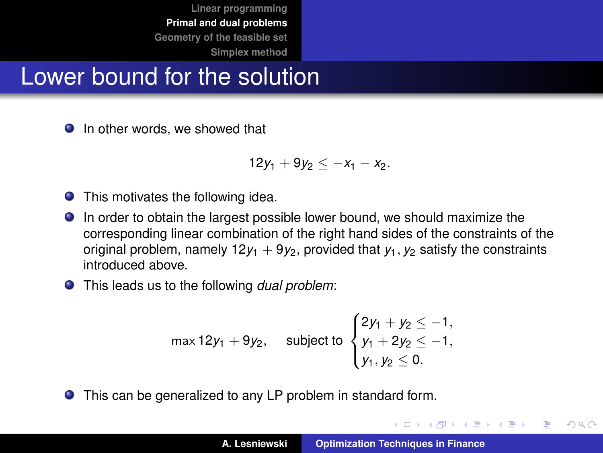## Lower bound for the solution

**In other words, we showed that** 

$$
12y_1+9y_2\leq -x_1-x_2.
$$

- **O** This motivates the following idea.
- In order to obtain the largest possible lower bound, we should maximize the corresponding linear combination of the right hand sides of the constraints of the original problem, namely  $12y_1 + 9y_2$ , provided that  $y_1, y_2$  satisfy the constraints introduced above.
- This leads us to the following *dual problem*:

$$
\max 12y_1 + 9y_2, \quad \text{subject to } \begin{cases} 2y_1 + y_2 \le -1, \\ y_1 + 2y_2 \le -1, \\ y_1, y_2 \le 0. \end{cases}
$$

This can be generalized to any LP problem in standard form.

イロメ イ部メ イヨメ イヨメー

 $QQ$ 

Þ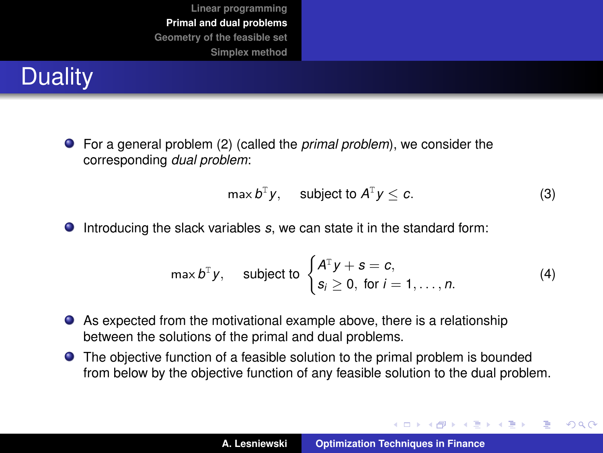# **Duality**

For a general problem [\(2\)](#page-9-0) (called the *primal problem*), we consider the corresponding *dual problem*:

<span id="page-17-1"></span>
$$
\max b^{\mathsf{T}} y, \quad \text{subject to } A^{\mathsf{T}} y \leq c. \tag{3}
$$

イロメ イ部メ イヨメ イヨメー

 $299$ 

重

● Introducing the slack variables *s*, we can state it in the standard form:

<span id="page-17-0"></span>
$$
\max b^{\mathrm{T}} y, \quad \text{subject to } \begin{cases} A^{\mathrm{T}} y + s = c, \\ s_i \geq 0, \text{ for } i = 1, \dots, n. \end{cases} \tag{4}
$$

- As expected from the motivational example above, there is a relationship between the solutions of the primal and dual problems.
- The objective function of a feasible solution to the primal problem is bounded from below by the objective function of any feasible solution to the dual problem.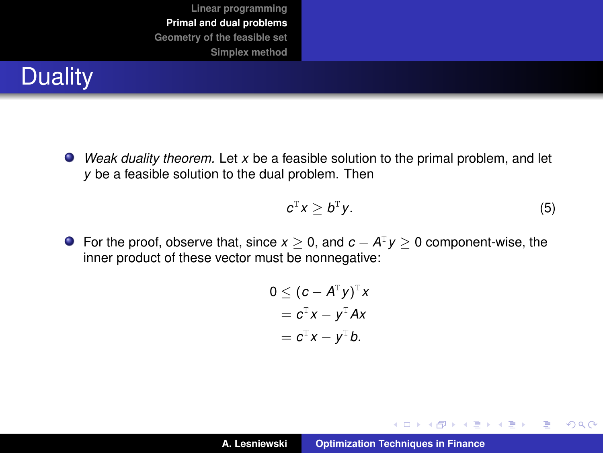## **Duality**

*Weak duality theorem.* Let *x* be a feasible solution to the primal problem, and let *y* be a feasible solution to the dual problem. Then

$$
c^{\mathrm{T}}x \geq b^{\mathrm{T}}y. \tag{5}
$$

イロトス 伊 トス ヨ トス ヨ トー

 $299$ 

重

For the proof, observe that, since  $x \geq 0$ , and  $c - A^{T}y \geq 0$  component-wise, the inner product of these vector must be nonnegative:

$$
0 \leq (c - AT y)T x
$$
  
= c<sup>T</sup> x - y<sup>T</sup> Ax  
= c<sup>T</sup> x - y<sup>T</sup> b.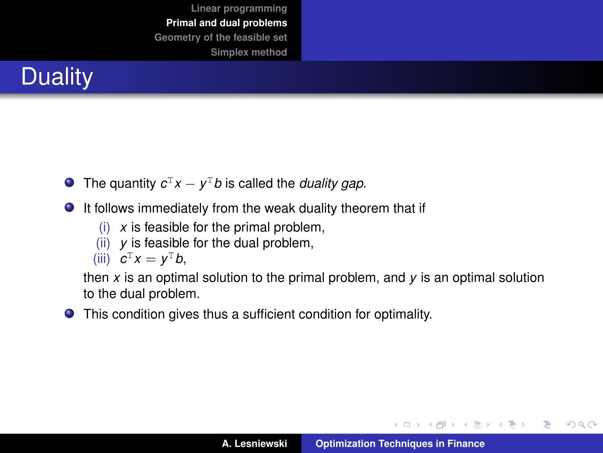

- The quantity  $c^T x y^T b$  is called the *duality gap*.
- $\bullet$  It follows immediately from the weak duality theorem that if
	- (i) *x* is feasible for the primal problem,
	- (ii) *y* is feasible for the dual problem,

$$
(iii) \quad \mathbf{C}^{\mathrm{T}}\mathbf{x} = \mathbf{y}^{\mathrm{T}}\mathbf{b},
$$

then *x* is an optimal solution to the primal problem, and *y* is an optimal solution to the dual problem.

This condition gives thus a sufficient condition for optimality.

イロメ イ部メ イヨメ イヨメー

 $299$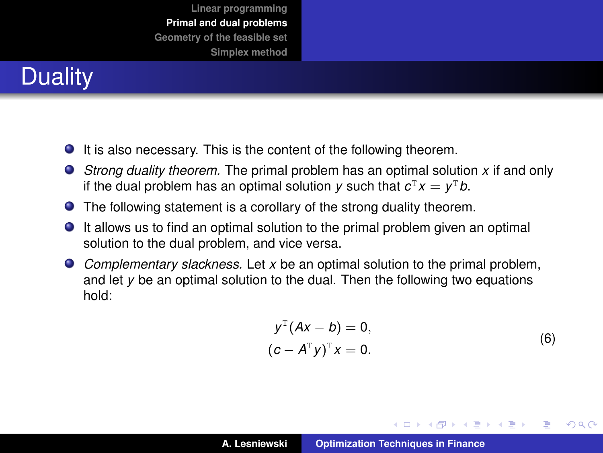# **Duality**

- $\bullet$  It is also necessary. This is the content of the following theorem.
- *Strong duality theorem.* The primal problem has an optimal solution *x* if and only if the dual problem has an optimal solution *y* such that  $c^{\text{\tiny T}} x = y^{\text{\tiny T}} b$ .
- The following statement is a corollary of the strong duality theorem.
- It allows us to find an optimal solution to the primal problem given an optimal solution to the dual problem, and vice versa.
- *Complementary slackness.* Let *x* be an optimal solution to the primal problem, and let *y* be an optimal solution to the dual. Then the following two equations hold:

$$
y^{T}(Ax - b) = 0,(c - A^{T}y)^{T}x = 0.
$$
 (6)

K ロ ⊁ K 伊 ⊁ K 君 ⊁ K 君 ⊁ .

 $299$ 

Þ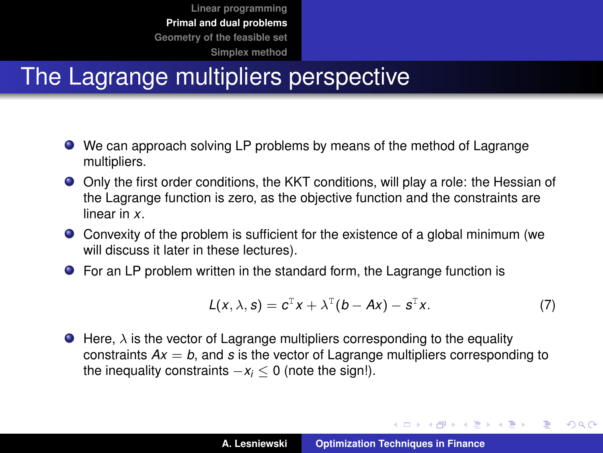## The Lagrange multipliers perspective

- We can approach solving LP problems by means of the method of Lagrange multipliers.
- Only the first order conditions, the KKT conditions, will play a role: the Hessian of the Lagrange function is zero, as the objective function and the constraints are linear in *x*.
- Convexity of the problem is sufficient for the existence of a global minimum (we will discuss it later in these lectures).
- For an LP problem written in the standard form, the Lagrange function is

$$
L(x, \lambda, s) = c^{\mathsf{T}} x + \lambda^{\mathsf{T}} (b - Ax) - s^{\mathsf{T}} x. \tag{7}
$$

イロメ イ団メ イヨメ イヨメー

 $299$ 

÷.

 $\bullet$  Here,  $\lambda$  is the vector of Lagrange multipliers corresponding to the equality constraints  $Ax = b$ , and *s* is the vector of Lagrange multipliers corresponding to the inequality constraints  $-x_i < 0$  (note the sign!).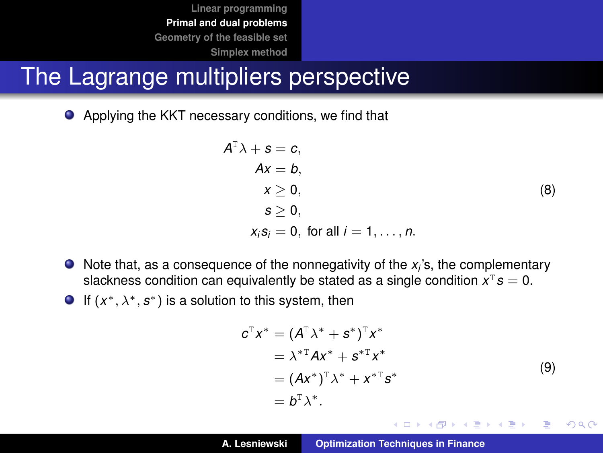#### The Lagrange multipliers perspective

Applying the KKT necessary conditions, we find that

$$
AT \lambda + s = c,
$$
  
\n
$$
Ax = b,
$$
  
\n
$$
x \ge 0,
$$
  
\n
$$
s \ge 0,
$$
  
\n
$$
x_i s_i = 0, \text{ for all } i = 1, ..., n.
$$
  
\n(8)

- Note that, as a consequence of the nonnegativity of the x<sub>i</sub>'s, the complementary slackness condition can equivalently be stated as a single condition  $x^T s = 0$ .
- If  $(x^*, \lambda^*, s^*)$  is a solution to this system, then

$$
cTx* = (ATx* + s*)Tx*
$$
  
=  $\lambda$ <sup>\*T</sup>Ax<sup>\*</sup> + s<sup>\*T</sup>x<sup>\*</sup>  
= (Ax<sup>\*</sup>)<sup>T</sup>x<sup>\*</sup> + x<sup>\*T</sup>s<sup>\*</sup>  
= b<sup>T</sup>x<sup>\*</sup>. (9)

イロト イ母 トイヨト イヨト 一番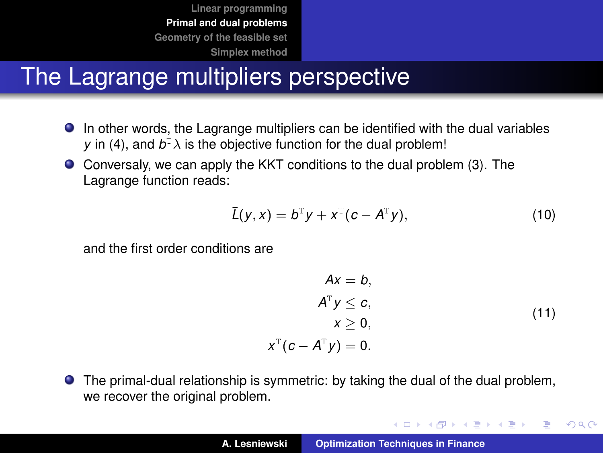## The Lagrange multipliers perspective

- In other words, the Lagrange multipliers can be identified with the dual variables *y* in [\(4\)](#page-17-0), and  $b^T\lambda$  is the objective function for the dual problem!
- Conversaly, we can apply the KKT conditions to the dual problem [\(3\)](#page-17-1). The Lagrange function reads:

$$
\overline{L}(y,x)=b^{\mathrm{T}}y+x^{\mathrm{T}}(c-A^{\mathrm{T}}y), \qquad (10)
$$

and the first order conditions are

$$
Ax = b,ATy \le c,x \ge 0,11)
$$
xT(c - ATy) = 0.
$$
$$

イロメ イ団メ イヨメ イヨメー

 $299$ 

重

The primal-dual relationship is symmetric: by taking the dual of the dual problem, we recover the original problem.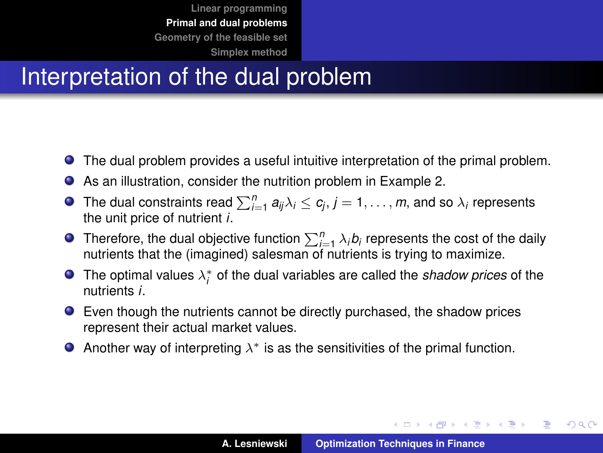## Interpretation of the dual problem

- The dual problem provides a useful intuitive interpretation of the primal problem.
- As an illustration, consider the nutrition problem in Example 2.  $\bullet$
- The dual constraints read  $\sum_{i=1}^{n} a_{ij} \lambda_i \leq c_j, j = 1, \ldots, m$ , and so  $\lambda_i$  represents the unit price of nutrient *i*.
- Therefore, the dual objective function  $\sum_{i=1}^{n} \lambda_i b_i$  represents the cost of the daily nutrients that the (imagined) salesman of nutrients is trying to maximize.
- The optimal values  $\lambda_i^*$  of the dual variables are called the *shadow prices* of the nutrients *i*.
- Even though the nutrients cannot be directly purchased, the shadow prices represent their actual market values.
- Another way of interpreting  $\lambda^*$  is as the sensitivities of the primal function.

イロメ イ団メ イヨメ イヨメー

 $299$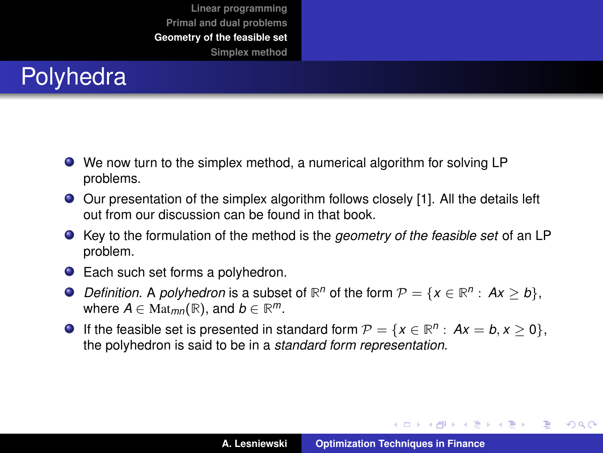## <span id="page-25-0"></span>Polyhedra

- We now turn to the simplex method, a numerical algorithm for solving LP problems.
- Our presentation of the simplex algorithm follows closely [\[1\]](#page-57-1). All the details left out from our discussion can be found in that book.
- Key to the formulation of the method is the *geometry of the feasible set* of an LP problem.
- Each such set forms a polyhedron.
- *Definition.* A *polyhedron* is a subset of  $\mathbb{R}^n$  of the form  $\mathcal{P} = \{x \in \mathbb{R}^n : Ax \geq b\}$ , where  $A \in \text{Mat}_{mn}(\mathbb{R})$ , and  $b \in \mathbb{R}^m$ .
- If the feasible set is presented in standard form  $\mathcal{P} = \{x \in \mathbb{R}^n : Ax = b, x \ge 0\},\$ the polyhedron is said to be in a *standard form representation*.

イロメ イ部メ イヨメ イヨメー

 $299$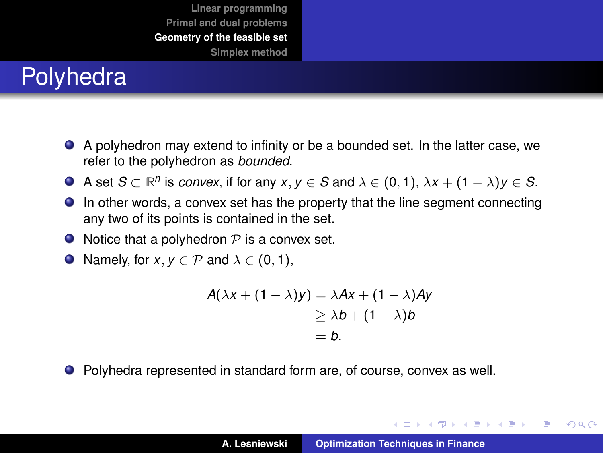## Polyhedra

- A polyhedron may extend to infinity or be a bounded set. In the latter case, we refer to the polyhedron as *bounded*.
- A set  $S \subset \mathbb{R}^n$  is *convex*, if for any  $x, y \in S$  and  $\lambda \in (0, 1)$ ,  $\lambda x + (1 \lambda)y \in S$ .
- In other words, a convex set has the property that the line segment connecting any two of its points is contained in the set.
- $\bullet$  Notice that a polyhedron  $P$  is a convex set.
- $\bigcirc$  Namely, for *x*, *y* ∈ *P* and  $\lambda$  ∈ (0, 1),

$$
A(\lambda x + (1 - \lambda)y) = \lambda Ax + (1 - \lambda)Ay
$$
  
\n
$$
\geq \lambda b + (1 - \lambda)b
$$
  
\n
$$
= b.
$$

● Polyhedra represented in standard form are, of course, convex as well.

イロメ イ団メ イヨメ イヨメー

 $299$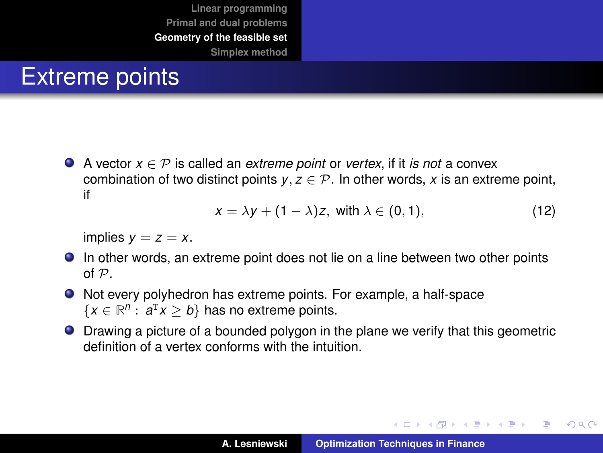#### Extreme points

A vector *x* ∈ P is called an *extreme point* or *vertex*, if it *is not* a convex combination of two distinct points  $y, z \in \mathcal{P}$ . In other words, x is an extreme point, if

$$
x = \lambda y + (1 - \lambda)z, \text{ with } \lambda \in (0, 1), \tag{12}
$$

implies  $y = z = x$ .

- In other words, an extreme point does not lie on a line between two other points of P.
- Not every polyhedron has extreme points. For example, a half-space  $\{x \in \mathbb{R}^n : a^T x \ge b\}$  has no extreme points.
- Drawing a picture of a bounded polygon in the plane we verify that this geometric definition of a vertex conforms with the intuition.

イロメ イ部メ イヨメ イヨメー

 $QQ$ 

Þ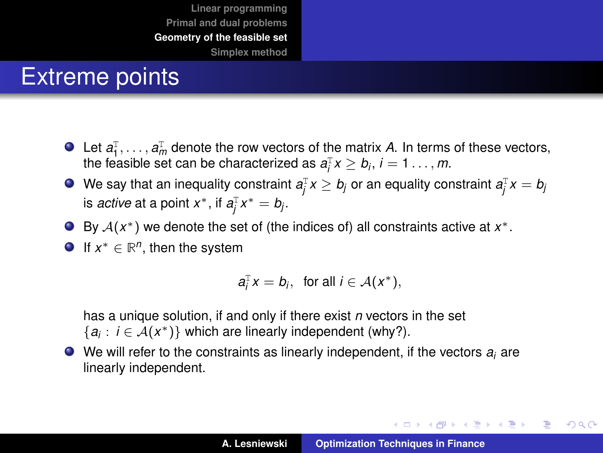## Extreme points

- Let  $a_1^{\mathrm{T}}, \ldots, a_m^{\mathrm{T}}$  denote the row vectors of the matrix *A*. In terms of these vectors, the feasible set can be characterized as  $a_i^T x \ge b_i$ ,  $i = 1...$ , *m*.
- We say that an inequality constraint  $a_j^\top x \geq b_j$  or an equality constraint  $a_j^\top x = b_j$ is *active* at a point  $x^*$ , if  $a_j^{\text{T}} x^* = b_j$ .
- By  $A(x^*)$  we denote the set of (the indices of) all constraints active at  $x^*$ .
- If  $x^* \in \mathbb{R}^n$ , then the system

$$
a_i^{\mathrm{T}} x = b_i, \text{ for all } i \in \mathcal{A}(x^*),
$$

has a unique solution, if and only if there exist *n* vectors in the set  ${a_i : i \in \mathcal{A}(x^*)}$  which are linearly independent (why?).

We will refer to the constraints as linearly independent, if the vectors *a<sup>i</sup>* are linearly independent.

イロメ イ団メ イヨメ イヨメー

重  $2Q$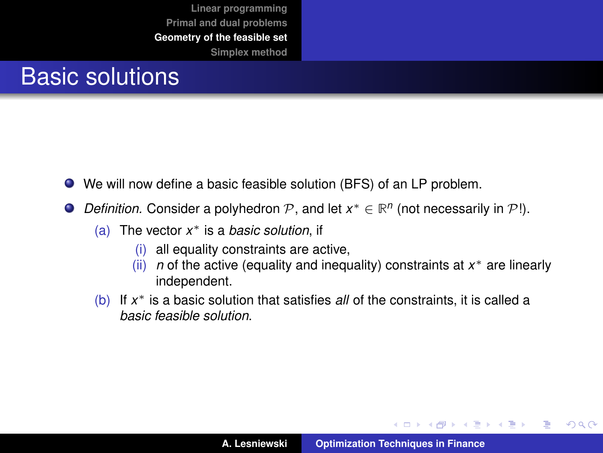#### Basic solutions

- We will now define a basic feasible solution (BFS) of an LP problem.
- *Definition.* Consider a polyhedron  $P$ , and let  $x^* \in \mathbb{R}^n$  (not necessarily in  $P$ !).  $\bullet$ 
	- (a) The vector *x* <sup>∗</sup> is a *basic solution*, if
		- (i) all equality constraints are active,
		- (ii) *n* of the active (equality and inequality) constraints at *x* <sup>∗</sup> are linearly independent.
	- (b) If *x* <sup>∗</sup> is a basic solution that satisfies *all* of the constraints, it is called a *basic feasible solution*.

イロメ イ部メ イヨメ イヨメー

 $299$ È.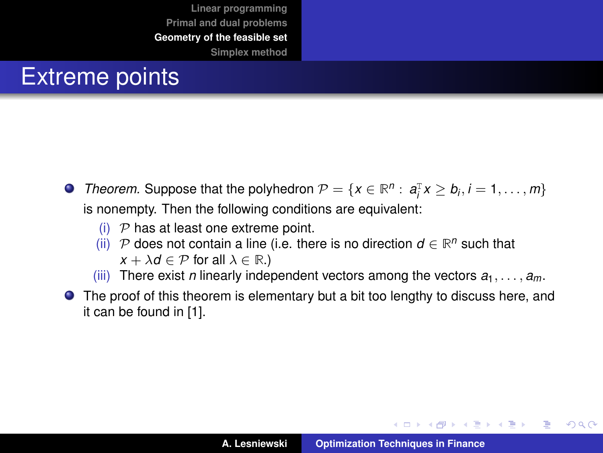## Extreme points

- *Theorem.* Suppose that the polyhedron  $P = \{x \in \mathbb{R}^n : a_i^T x \ge b_i, i = 1, ..., m\}$ is nonempty. Then the following conditions are equivalent:
	- (i)  $P$  has at least one extreme point.
	- (ii)  $P$  does not contain a line (i.e. there is no direction  $d \in \mathbb{R}^n$  such that  $x + \lambda d \in \mathcal{P}$  for all  $\lambda \in \mathbb{R}$ .)
	- (iii) There exist *n* linearly independent vectors among the vectors  $a_1, \ldots, a_m$ .
- The proof of this theorem is elementary but a bit too lengthy to discuss here, and it can be found in [\[1\]](#page-57-1).

イロメ イ部メ イヨメ イヨメー

 $299$ 

Þ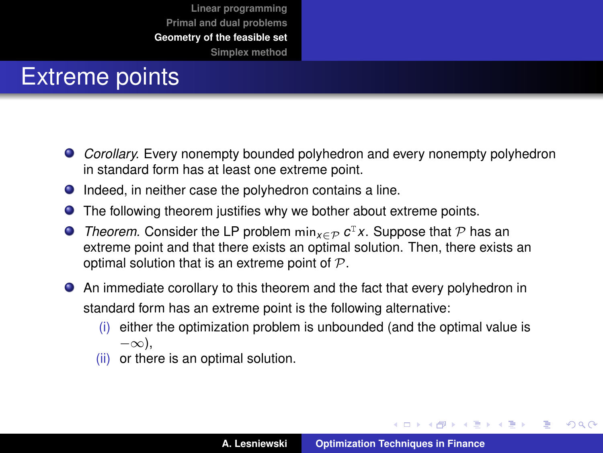## Extreme points

- *Corollary.* Every nonempty bounded polyhedron and every nonempty polyhedron in standard form has at least one extreme point.
- $\bullet$  Indeed, in neither case the polyhedron contains a line.
- $\bullet$ The following theorem justifies why we bother about extreme points.
- *Theorem.* Consider the LP problem  $min_{x \in \mathcal{P}} c^T x$ . Suppose that  $\mathcal P$  has an extreme point and that there exists an optimal solution. Then, there exists an optimal solution that is an extreme point of  $P$ .
- An immediate corollary to this theorem and the fact that every polyhedron in standard form has an extreme point is the following alternative:
	- (i) either the optimization problem is unbounded (and the optimal value is −∞),
	- (ii) or there is an optimal solution.

イロメ イ部メ イヨメ イヨメー

 $299$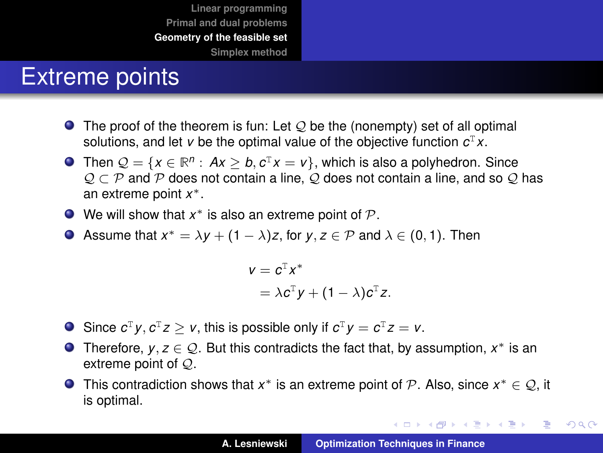#### Extreme points

- $\bullet$  The proof of the theorem is fun: Let  $\mathcal Q$  be the (nonempty) set of all optimal solutions, and let *v* be the optimal value of the objective function *c* <sup>T</sup>*x*.
- Then  $\mathcal{Q} = \{x \in \mathbb{R}^n : Ax \geq b, c^{\mathsf{T}}x = v\}$ , which is also a polyhedron. Since  $Q \subset P$  and P does not contain a line, Q does not contain a line, and so Q has an extreme point *x* ∗.
- We will show that  $x^*$  is also an extreme point of  $\mathcal P$ .
- Assume that  $x^* = \lambda y + (1 \lambda)z$ , for  $y, z \in \mathcal{P}$  and  $\lambda \in (0, 1)$ . Then

$$
v = cT x*
$$
  
=  $\lambda cT y + (1 - \lambda) cT z.$ 

- Since  $c^{\mathrm{T}} y, c^{\mathrm{T}} z \geq v$ , this is possible only if  $c^{\mathrm{T}} y = c^{\mathrm{T}} z = v$ .
- Therefore,  $y, z \in \mathcal{Q}$ . But this contradicts the fact that, by assumption,  $x^*$  is an extreme point of Q.
- This contradiction shows that  $x^*$  is an extreme point of P. Also, since  $x^* \in \mathcal{Q}$ , it is optimal.

K ロ ⊁ K 伊 ⊁ K 君 ⊁ K 君 ⊁ …

重。  $299$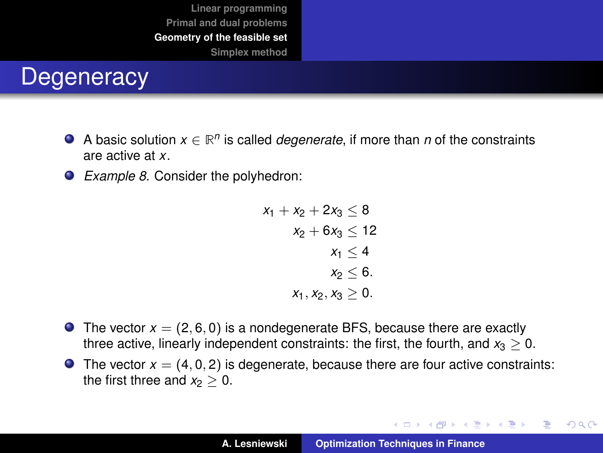#### **Degeneracy**

- A basic solution  $x \in \mathbb{R}^n$  is called *degenerate*, if more than *n* of the constraints are active at *x*.
- *Example 8*. Consider the polyhedron:

$$
\begin{aligned} x_1 + x_2 + 2x_3 &\leq 8 \\ x_2 + 6x_3 &\leq 12 \\ x_1 &\leq 4 \\ x_2 &\leq 6. \\ x_1, x_2, x_3 &\geq 0. \end{aligned}
$$

- **The vector**  $x = (2, 6, 0)$  **is a nondegenerate BFS, because there are exactly** three active, linearly independent constraints: the first, the fourth, and  $x_3 > 0$ .
- $\bullet$  The vector  $x = (4, 0, 2)$  is degenerate, because there are four active constraints: the first three and  $x_2 > 0$ .

イロメ イ団メ イヨメ イヨメー

 $299$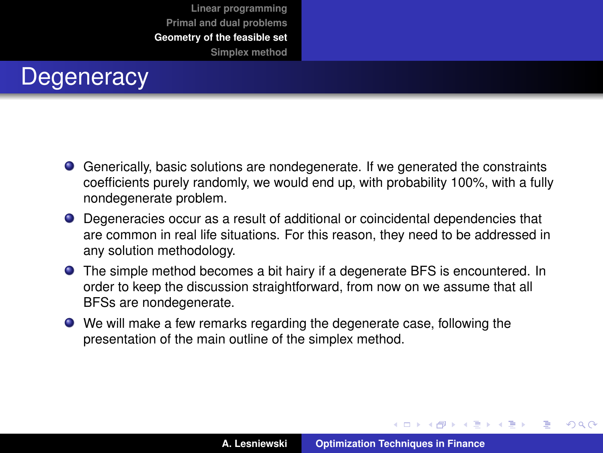

- Generically, basic solutions are nondegenerate. If we generated the constraints coefficients purely randomly, we would end up, with probability 100%, with a fully nondegenerate problem.
- Degeneracies occur as a result of additional or coincidental dependencies that are common in real life situations. For this reason, they need to be addressed in any solution methodology.
- The simple method becomes a bit hairy if a degenerate BFS is encountered. In order to keep the discussion straightforward, from now on we assume that all BFSs are nondegenerate.
- We will make a few remarks regarding the degenerate case, following the presentation of the main outline of the simplex method.

イロメ イ部メ イヨメ イヨメー

 $QQ$ 

Þ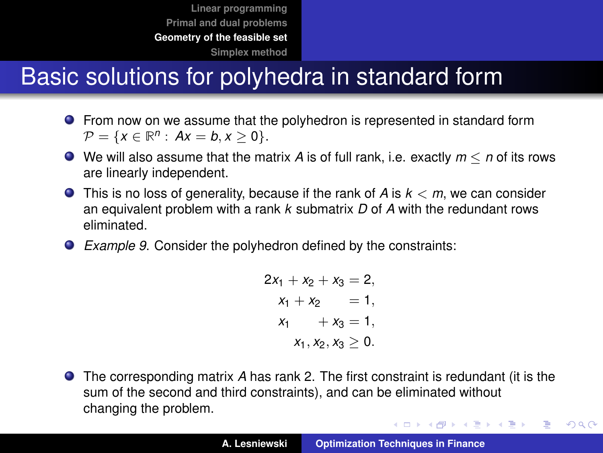## Basic solutions for polyhedra in standard form

- From now on we assume that the polyhedron is represented in standard form  $\mathcal{P} = \{x \in \mathbb{R}^n : Ax = b, x \ge 0\}.$
- We will also assume that the matrix *A* is of full rank, i.e. exactly *m* ≤ *n* of its rows are linearly independent.
- This is no loss of generality, because if the rank of *A* is *k* < *m*, we can consider an equivalent problem with a rank *k* submatrix *D* of *A* with the redundant rows eliminated.
- *Example 9*. Consider the polyhedron defined by the constraints:

$$
2x1 + x2 + x3 = 2,x1 + x2 = 1,x1 + x3 = 1,x1, x2, x3 \ge 0.
$$

The corresponding matrix *A* has rank 2. The first constraint is redundant (it is the sum of the second and third constraints), and can be eliminated without changing the problem.

イロメ イ団メ イヨメ イヨメー

重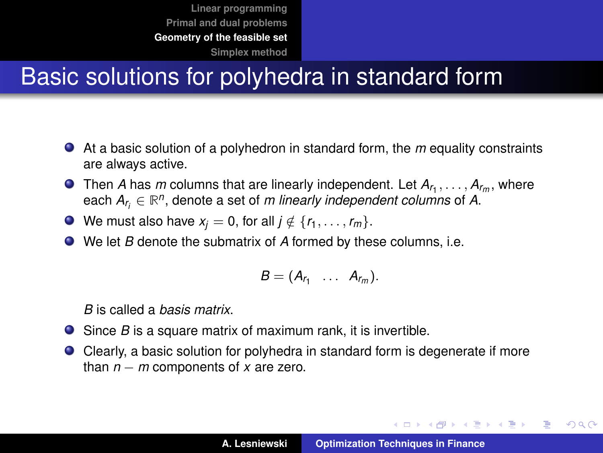## Basic solutions for polyhedra in standard form

- At a basic solution of a polyhedron in standard form, the *m* equality constraints are always active.
- Then *A* has *m* columns that are linearly independent. Let  $A_{r_1}, \ldots, A_{r_m}$ , where each  $A_{r_i} \in \mathbb{R}^n$ , denote a set of *m linearly independent columns* of A.
- We must also have  $x_j = 0$ , for all  $j \notin \{r_1, \ldots, r_m\}$ .
- We let *B* denote the submatrix of *A* formed by these columns, i.e.

$$
B=(A_{r_1}\ \ldots\ A_{r_m}).
$$

*B* is called a *basis matrix*.

- Since *B* is a square matrix of maximum rank, it is invertible.
- Clearly, a basic solution for polyhedra in standard form is degenerate if more than *n* − *m* components of *x* are zero.

イロメ イ団メ イヨメ イヨメー

B

 $2Q$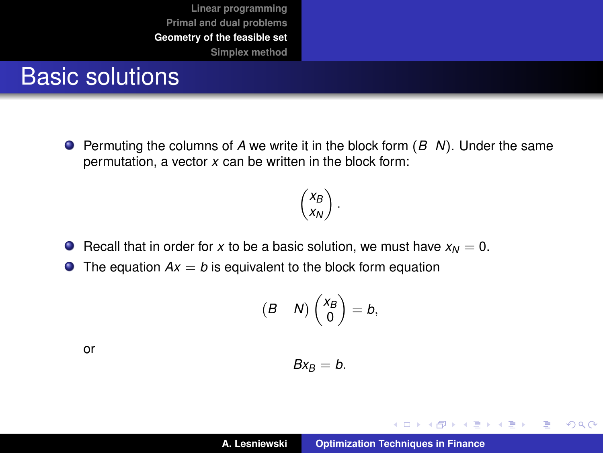#### Basic solutions

Permuting the columns of *A* we write it in the block form (*B N*). Under the same permutation, a vector *x* can be written in the block form:

> $\big(X_B$ *xN*  $\big)$  .

#### **•** Recall that in order for *x* to be a basic solution, we must have  $x<sub>M</sub> = 0$ .

 $\bullet$  The equation  $Ax = b$  is equivalent to the block form equation

$$
\begin{pmatrix} B & N \end{pmatrix} \begin{pmatrix} x_B \\ 0 \end{pmatrix} = b,
$$

or

 $Bx_B = b$ .

イロメ イ部メ イヨメ イヨメー

 $299$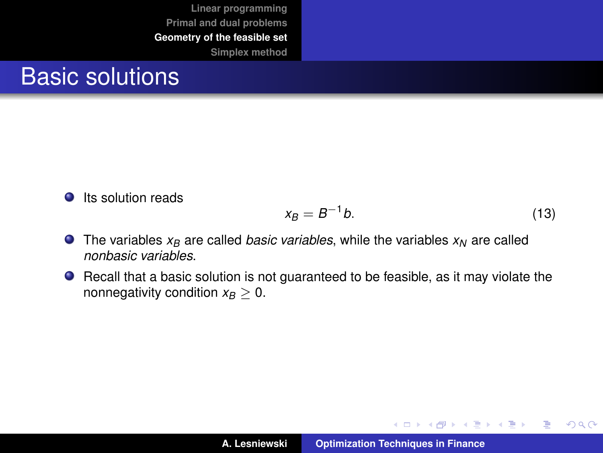#### Basic solutions

**O** Its solution reads

$$
x_B = B^{-1}b.\tag{13}
$$

イロメ イ部メ イヨメ イヨメー

 $299$ 

- $\bullet$  The variables  $x_B$  are called *basic variables*, while the variables  $x_N$  are called *nonbasic variables*.
- Recall that a basic solution is not guaranteed to be feasible, as it may violate the nonnegativity condition  $x_B > 0$ .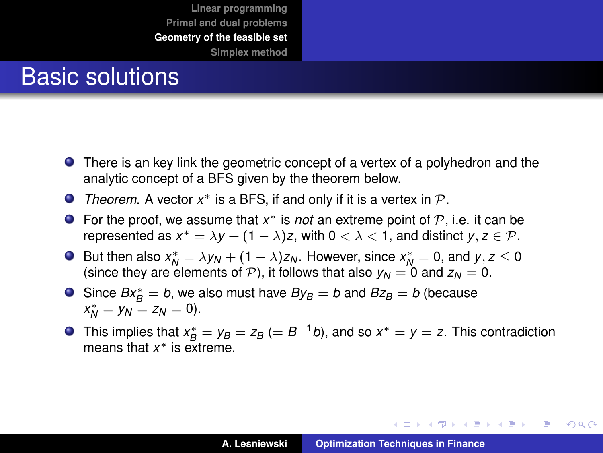#### Basic solutions

- There is an key link the geometric concept of a vertex of a polyhedron and the analytic concept of a BFS given by the theorem below.
- *Theorem.* A vector  $x^*$  is a BFS, if and only if it is a vertex in  $P$ .
- For the proof, we assume that  $x^*$  is *not* an extreme point of  $P$ , i.e. it can be represented as  $x^* = \lambda y + (1 - \lambda)z$ , with  $0 < \lambda < 1$ , and distinct  $y, z \in \mathcal{P}$ .
- But then also  $x_N^* = \lambda y_N + (1 \lambda)z_N$ . However, since  $x_N^* = 0$ , and  $y, z \le 0$ (since they are elements of  $P$ ), it follows that also  $y_N = 0$  and  $z_N = 0$ .
- Since  $Bx_{B}^{*} = b$ , we also must have  $By_{B} = b$  and  $Bz_{B} = b$  (because  $x_N^* = y_N = z_N = 0$ .
- This implies that  $x^*_{B} = y_B = z_B$  (=  $B^{-1}b$ ), and so  $x^* = y = z$ . This contradiction means that *x* <sup>∗</sup> is extreme.

イロメ イ部メ イヨメ イヨメー

÷.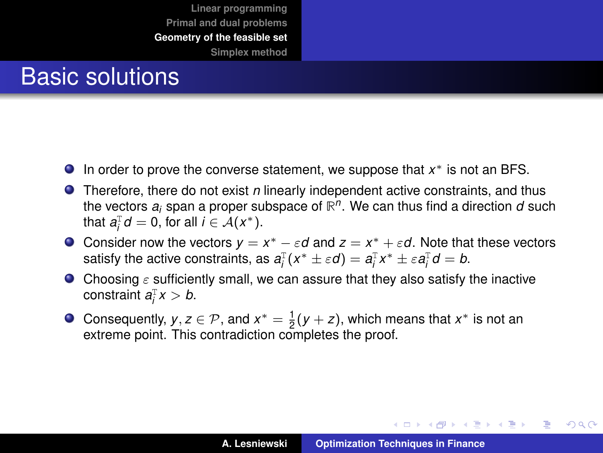#### Basic solutions

- In order to prove the converse statement, we suppose that *x* <sup>∗</sup> is not an BFS.
- **•** Therefore, there do not exist *n* linearly independent active constraints, and thus the vectors *a<sup>i</sup>* span a proper subspace of **R** *n* . We can thus find a direction *d* such that  $a_i^{\text{T}}d = 0$ , for all  $i \in \mathcal{A}(x^*)$ .
- Consider now the vectors  $y = x^* \varepsilon d$  and  $z = x^* + \varepsilon d$ . Note that these vectors satisfy the active constraints, as  $a_i^{\text{T}}(x^* \pm \varepsilon d) = a_i^{\text{T}}x^* \pm \varepsilon a_i^{\text{T}}d = b$ .
- Choosing  $\varepsilon$  sufficiently small, we can assure that they also satisfy the inactive constraint  $a_i^Tx > b$ .
- Consequently,  $y, z \in \mathcal{P}$ , and  $x^* = \frac{1}{2}(y + z)$ , which means that  $x^*$  is not an extreme point. This contradiction completes the proof.

イロメ イ部メ イヨメ イヨメー

 $299$ 

Þ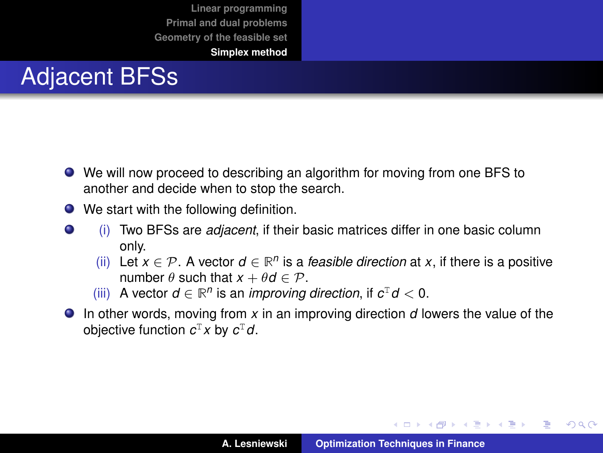## <span id="page-41-0"></span>Adjacent BFSs

- We will now proceed to describing an algorithm for moving from one BFS to another and decide when to stop the search.
- We start with the following definition.
- $\bullet$ (i) Two BFSs are *adjacent*, if their basic matrices differ in one basic column only.
	- (ii) Let *x* ∈  $P$ . A vector *d* ∈  $ℝ<sup>n</sup>$  is a *feasible direction* at *x*, if there is a positive number  $\theta$  such that  $x + \theta d \in \mathcal{P}$ .
	- (iii) A vector  $d \in \mathbb{R}^n$  is an *improving direction*, if  $c^{\mathrm{T}} d < 0$ .
- In other words, moving from *x* in an improving direction *d* lowers the value of the objective function *c* <sup>T</sup>*x* by *c* <sup>T</sup>*d*.

イロメ イ部メ イヨメ イヨメー

÷.  $298$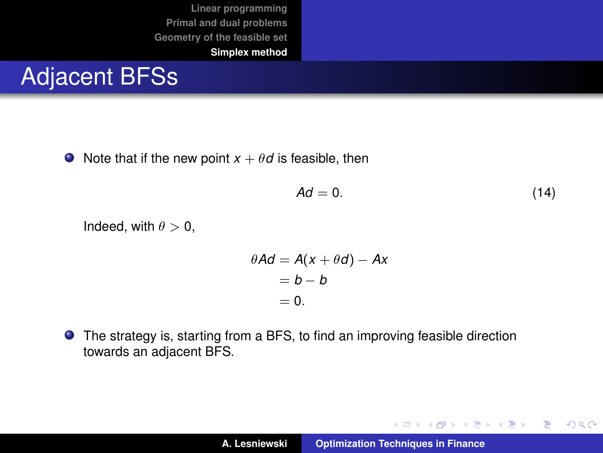#### Adjacent BFSs

 $\bullet$  Note that if the new point  $x + \theta d$  is feasible, then

$$
Ad = 0. \tag{14}
$$

イロトス 伊 トス ヨ トス ヨ トー

 $299$ 

重

Indeed, with  $\theta > 0$ ,

$$
\theta A d = A(x + \theta d) - Ax
$$
  
= b - b  
= 0.

The strategy is, starting from a BFS, to find an improving feasible direction towards an adjacent BFS.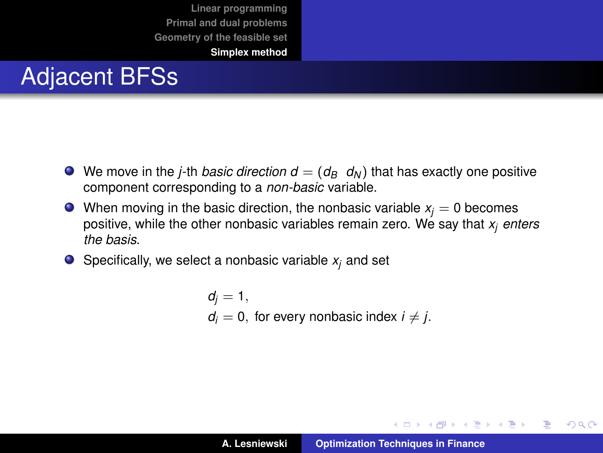## Adjacent BFSs

- $\bullet$  We move in the *j*-th *basic direction*  $d = (d_B \ d_N)$  that has exactly one positive component corresponding to a *non-basic* variable.
- $\bullet$  When moving in the basic direction, the nonbasic variable  $x_i = 0$  becomes positive, while the other nonbasic variables remain zero. We say that *x<sup>j</sup> enters the basis*.
- $\bullet$  Specifically, we select a nonbasic variable  $x_i$  and set

 $d_i = 1$ ,  $d_i = 0$ , for every nonbasic index  $i \neq j$ .

イロメ イ団メ イヨメ イヨメー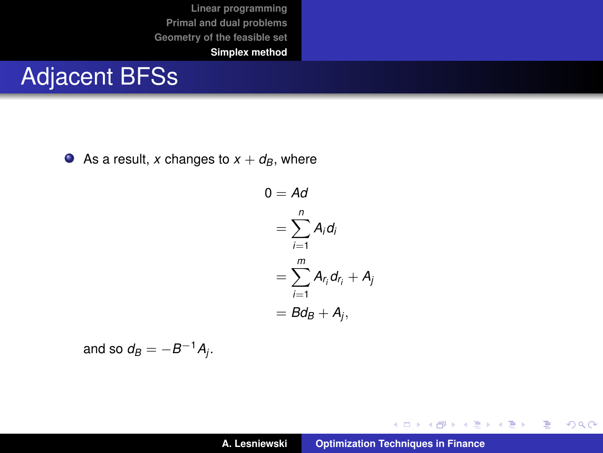#### Adjacent BFSs

As a result, *x* changes to  $x + d_B$ , where

$$
0 = Ad
$$
  
=  $\sum_{i=1}^{n} A_i d_i$   
=  $\sum_{i=1}^{m} A_{r_i} d_{r_i} + A_j$   
=  $bd_B + A_j$ ,

and so  $d_B = -B^{-1}A_j$ .

イロトス 伊 トス ヨ トス ヨ トー

重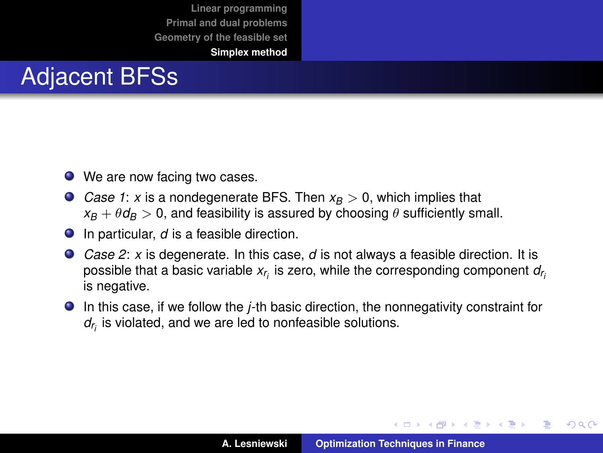## Adjacent BFSs

- We are now facing two cases.
- *Case 1*: *x* is a nondegenerate BFS. Then *x<sub>B</sub>* > 0, which implies that  $x_B + \theta d_B > 0$ , and feasibility is assured by choosing  $\theta$  sufficiently small.
- In particular, *d* is a feasible direction.
- *Case 2*: *x* is degenerate. In this case, *d* is not always a feasible direction. It is possible that a basic variable *xr i* is zero, while the corresponding component *dr i* is negative.
- In this case, if we follow the *j*-th basic direction, the nonnegativity constraint for *dr i* is violated, and we are led to nonfeasible solutions.

イロメ イ部メ イヨメ イヨメー

Þ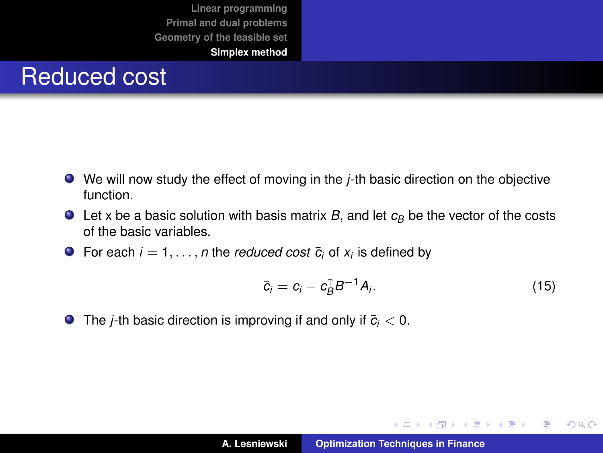#### Reduced cost

- We will now study the effect of moving in the *j*-th basic direction on the objective function.
- $\bullet$  Let x be a basic solution with basis matrix *B*, and let  $c_B$  be the vector of the costs of the basic variables.
- For each  $i = 1, \ldots, n$  the *reduced cost*  $\bar{c}_i$  of  $x_i$  is defined by

$$
\bar{c}_i = c_i - c_B^{\mathrm{T}} B^{-1} A_i. \tag{15}
$$

イロメ イ団メ イヨメ イヨメー

 $299$ 

重

**O** The *j*-th basic direction is improving if and only if  $\bar{c}_i < 0$ .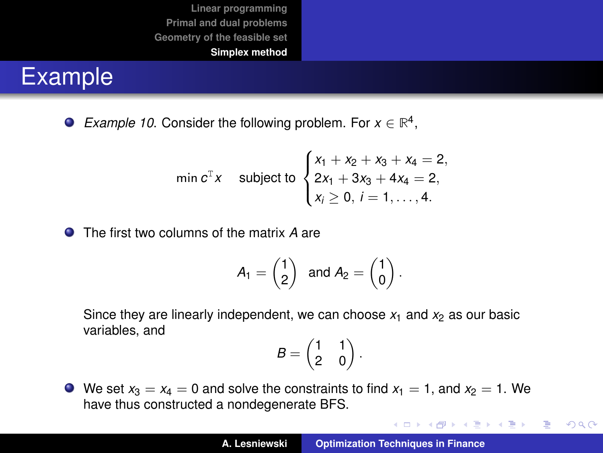## Example

*Example 10.* Consider the following problem. For  $x \in \mathbb{R}^4$ ,

$$
\min c^{\mathrm{T}} x \quad \text{subject to} \begin{cases} x_1 + x_2 + x_3 + x_4 = 2, \\ 2x_1 + 3x_3 + 4x_4 = 2, \\ x_i \ge 0, \ i = 1, \dots, 4. \end{cases}
$$

The first two columns of the matrix *A* are

$$
A_1 = \begin{pmatrix} 1 \\ 2 \end{pmatrix} \text{ and } A_2 = \begin{pmatrix} 1 \\ 0 \end{pmatrix}.
$$

Since they are linearly independent, we can choose  $x_1$  and  $x_2$  as our basic variables, and

$$
B=\begin{pmatrix}1&1\\2&0\end{pmatrix}.
$$

 $\bullet$  We set  $x_3 = x_4 = 0$  and solve the constraints to find  $x_1 = 1$ , and  $x_2 = 1$ . We have thus constructed a nondegenerate BFS.

イロトメ団トメミトメミト

重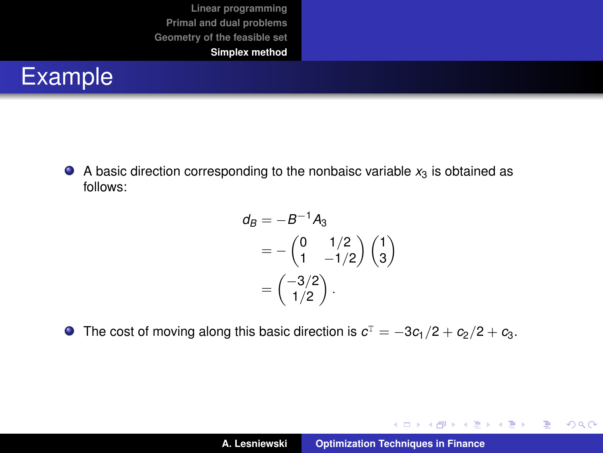

 $\bullet$  A basic direction corresponding to the nonbaisc variable  $x_3$  is obtained as follows:

$$
d_B = -B^{-1}A_3
$$
  
= -\begin{pmatrix} 0 & 1/2 \\ 1 & -1/2 \end{pmatrix} \begin{pmatrix} 1 \\ 3 \end{pmatrix}  
= \begin{pmatrix} -3/2 \\ 1/2 \end{pmatrix} .

The cost of moving along this basic direction is  $c^{\text{T}} = -3c_1/2 + c_2/2 + c_3.$ 

イロトメ 御 トメ 君 トメ 君 トー

重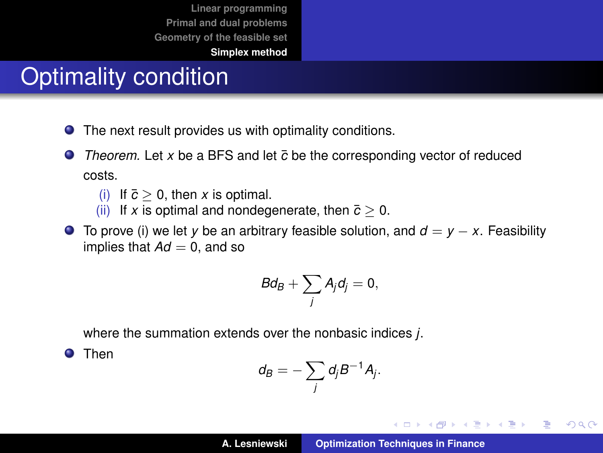## Optimality condition

- $\bullet$ The next result provides us with optimality conditions.
- $\bullet$ *Theorem.* Let x be a BFS and let  $\bar{c}$  be the corresponding vector of reduced costs.
	- (i) If  $\bar{c} > 0$ , then *x* is optimal.
	- (ii) If *x* is optimal and nondegenerate, then  $\bar{c} > 0$ .
- $\bullet$  To prove (i) we let *y* be an arbitrary feasible solution, and  $d = y x$ . Feasibility implies that  $Ad = 0$ , and so

$$
Bd_B+\sum_j A_j d_j=0,
$$

where the summation extends over the nonbasic indices *j*.

**O** Then

$$
d_B=-\sum_j d_j B^{-1}A_j.
$$

イロメ イ部メ イヨメ イヨメー

重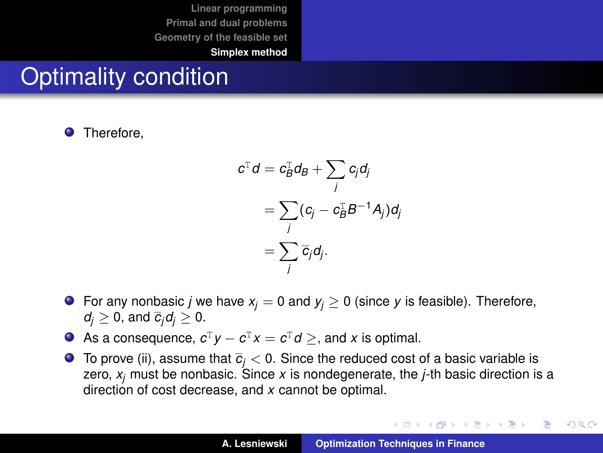## Optimality condition

**O** Therefore,

$$
c^{\mathrm{T}}d = c_B^{\mathrm{T}}d_B + \sum_j c_j d_j
$$
  
= 
$$
\sum_j (c_j - c_B^{\mathrm{T}}B^{-1}A_j) d_j
$$
  
= 
$$
\sum_j \overline{c}_j d_j.
$$

- **O** For any nonbasic *j* we have  $x_j = 0$  and  $y_j \ge 0$  (since *y* is feasible). Therefore,  $d_i \geq 0$ , and  $\overline{c}_i d_i \geq 0$ .
- As a consequence,  $c^T y c^T x = c^T d \geq$ , and *x* is optimal.
- $\bullet$  To prove (ii), assume that  $\overline{c}_i$  < 0. Since the reduced cost of a basic variable is zero, *x<sup>j</sup>* must be nonbasic. Since *x* is nondegenerate, the *j*-th basic direction is a direction of cost decrease, and *x* cannot be optimal.

K ロ ⊁ K 伊 ⊁ K 君 ⊁ K 君 ⊁ …

重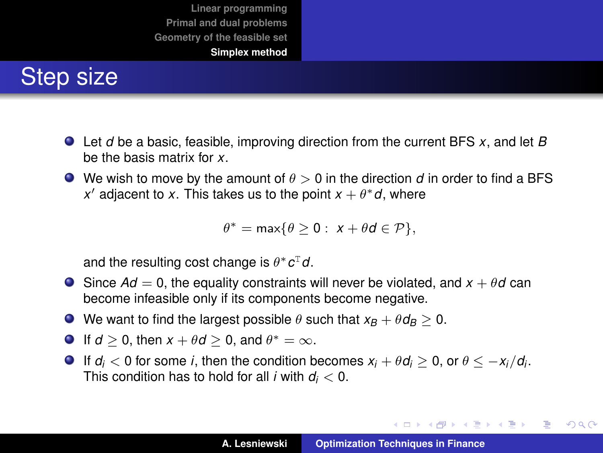## Step size

- Let *d* be a basic, feasible, improving direction from the current BFS *x*, and let *B* be the basis matrix for *x*.
- $\bullet$  We wish to move by the amount of  $\theta > 0$  in the direction *d* in order to find a BFS x' adjacent to x. This takes us to the point  $x + \theta^* d$ , where

$$
\theta^* = \max\{\theta \ge 0: x + \theta d \in \mathcal{P}\},\
$$

and the resulting cost change is  $θ* c<sup>T</sup> d$ .

- $\bullet$  Since  $Ad = 0$ , the equality constraints will never be violated, and  $x + \theta d$  can become infeasible only if its components become negative.
- $\bullet$  We want to find the largest possible  $\theta$  such that  $x_B + \theta d_B \geq 0$ .
- If  $d \ge 0$ , then  $x + \theta d \ge 0$ , and  $\theta^* = \infty$ .
- If  $d_i < 0$  for some *i*, then the condition becomes  $x_i + \theta d_i \geq 0$ , or  $\theta \leq -x_i/d_i$ . This condition has to hold for all *i* with *d<sup>i</sup>* < 0.

イロメ イ団メ イヨメ イヨメー

 $299$ 重。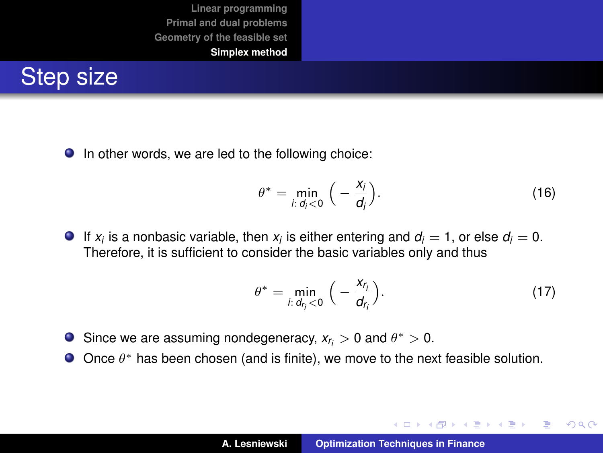

 $\bullet$  In other words, we are led to the following choice:

$$
\theta^* = \min_{i: d_i < 0} \left( -\frac{x_i}{d_i} \right). \tag{16}
$$

If  $x_i$  is a nonbasic variable, then  $x_i$  is either entering and  $d_i = 1$ , or else  $d_i = 0$ . Therefore, it is sufficient to consider the basic variables only and thus

<span id="page-52-0"></span>
$$
\theta^* = \min_{i: d_{r_i} < 0} \left( -\frac{x_{r_i}}{d_{r_i}} \right). \tag{17}
$$

イロメ イ部メ イヨメ イヨメー

 $299$ 

- Since we are assuming nondegeneracy,  $x_{r_i} > 0$  and  $\theta^* > 0$ .
- Once  $\theta^*$  has been chosen (and is finite), we move to the next feasible solution.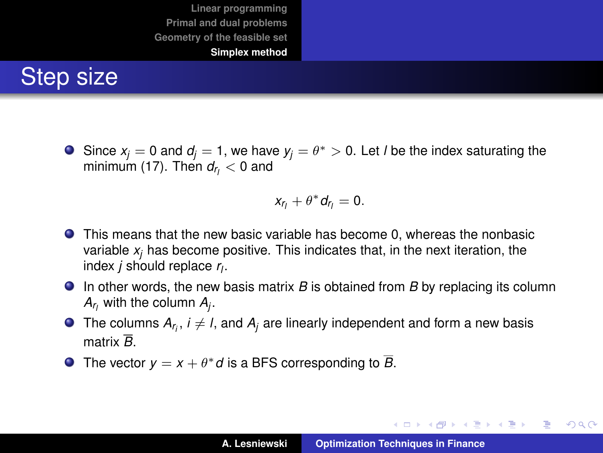## Step size

Since  $x_j = 0$  and  $d_j = 1$ , we have  $y_j = \theta^* > 0$ . Let *l* be the index saturating the minimum [\(17\)](#page-52-0). Then  $d_{r_l} < 0$  and

$$
x_{r_1}+\theta^* d_{r_1}=0.
$$

- This means that the new basic variable has become 0, whereas the nonbasic variable  $x_i$  has become positive. This indicates that, in the next iteration, the index *j* should replace *r<sup>l</sup>* .
- In other words, the new basis matrix *B* is obtained from *B* by replacing its column  $A_{r_i}$  with the column  $A_j$ .
- The columns  $A_{r_i},\,i\neq l,$  and  $A_j$  are linearly independent and form a new basis matrix *B*.
- The vector  $y = x + \theta^* d$  is a BFS corresponding to  $\overline{B}$ .

イロメ イ部メ イヨメ イヨメー

重

 $2Q$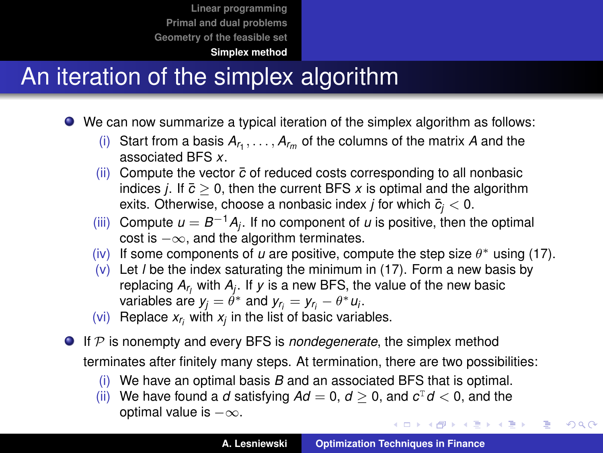#### **[Simplex method](#page-41-0)**

## An iteration of the simplex algorithm

- We can now summarize a typical iteration of the simplex algorithm as follows:
	- (i) Start from a basis  $A_{r_1}, \ldots, A_{r_m}$  of the columns of the matrix A and the associated BFS *x*.
	- (ii) Compute the vector *c*¯ of reduced costs corresponding to all nonbasic indices *j*. If  $\bar{c} \geq 0$ , then the current BFS *x* is optimal and the algorithm exits. Otherwise, choose a nonbasic index *j* for which  $\bar{c}_i < 0$ .
	- $(iii)$  Compute  $u = B^{-1}A_j$ . If no component of  $u$  is positive, then the optimal cost is  $-\infty$ , and the algorithm terminates.
	- (iv) If some components of  $u$  are positive, compute the step size  $\theta^*$  using [\(17\)](#page-52-0).
	- (v) Let *l* be the index saturating the minimum in [\(17\)](#page-52-0). Form a new basis by replacing *Ar <sup>l</sup>* with *A<sup>j</sup>* . If *y* is a new BFS, the value of the new basic variables are  $y_j = \theta^*$  and  $y_{r_j} = y_{r_j} - \theta^* u_j$ .
	- (vi) Replace  $x_{r_i}$  with  $x_j$  in the list of basic variables.
- If P is nonempty and every BFS is *nondegenerate*, the simplex method terminates after finitely many steps. At termination, there are two possibilities:
	- (i) We have an optimal basis *B* and an associated BFS that is optimal.
	- (ii) We have found a *d* satisfying  $Ad = 0$ ,  $d \ge 0$ , and  $c^{\text{T}}d < 0$ , and the optimal value is  $-\infty$ . イロト イ部 トイモト イモト

 $299$ 

Þ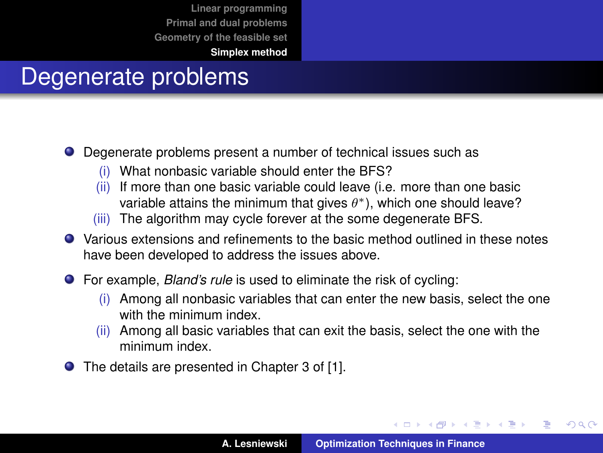#### Degenerate problems

- Degenerate problems present a number of technical issues such as
	- What nonbasic variable should enter the BFS?
	- (ii) If more than one basic variable could leave (i.e. more than one basic variable attains the minimum that gives  $\theta^*$ ), which one should leave?
	- (iii) The algorithm may cycle forever at the some degenerate BFS.
- Various extensions and refinements to the basic method outlined in these notes have been developed to address the issues above.
- For example, *Bland's rule* is used to eliminate the risk of cycling:
	- (i) Among all nonbasic variables that can enter the new basis, select the one with the minimum index.
	- (ii) Among all basic variables that can exit the basis, select the one with the minimum index.
- The details are presented in Chapter 3 of [\[1\]](#page-57-1).

イロメ イ部メ イヨメ イヨメー

 $299$ 

Þ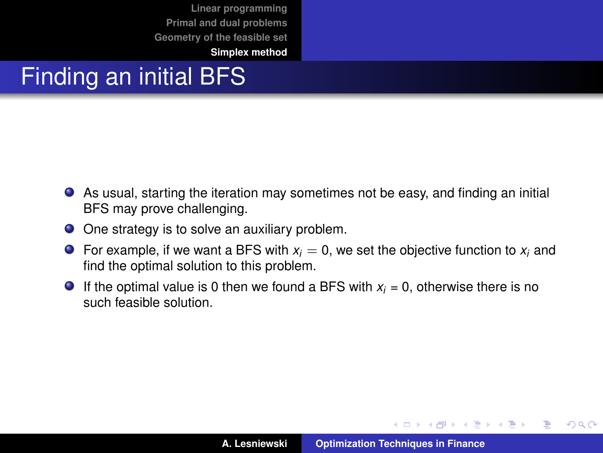**[Simplex method](#page-41-0)**

## Finding an initial BFS

- As usual, starting the iteration may sometimes not be easy, and finding an initial BFS may prove challenging.
- One strategy is to solve an auxiliary problem.
- **•** For example, if we want a BFS with  $x_i = 0$ , we set the objective function to  $x_i$  and find the optimal solution to this problem.
- **If the optimal value is 0 then we found a BFS with**  $x_i = 0$ **, otherwise there is no** such feasible solution.

イロメ イ部メ イ君メ イ君メー

 $299$